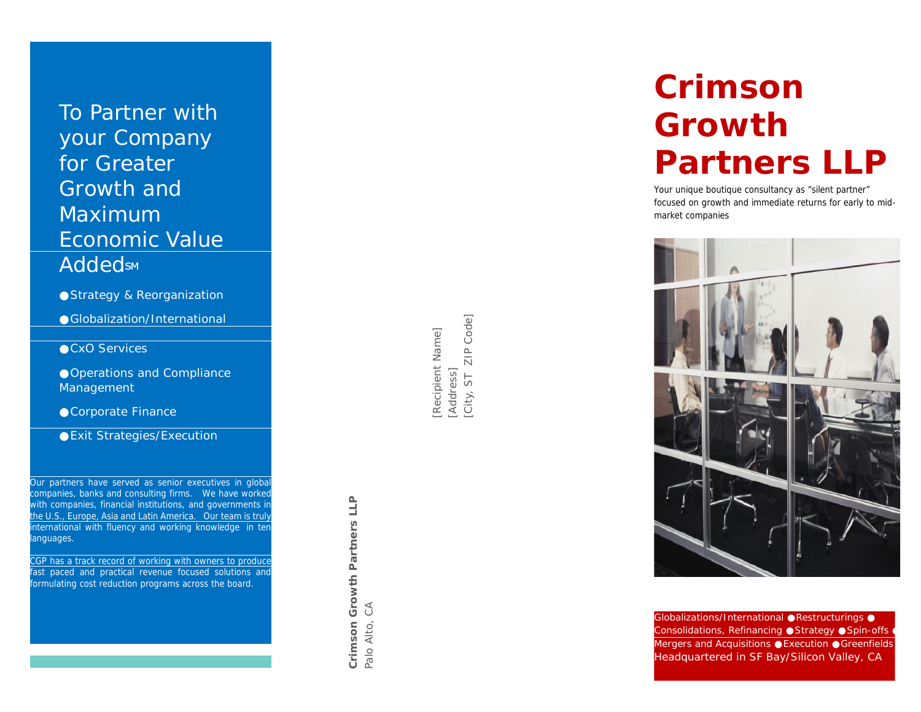To Partner with your Company for Greater Growth and Maximum Economic Value **Addeds<sub>M</sub>** SM Professor Service Construction

Strategy & Reorganization Globalization/International

CxO Services

Operations and Compliance Management

Corporate Finance

Exit Strategies/Execution

Our partners have served as senior executives in global companies, banks and consulting firms. We have worked with companies, financial institutions, and governments in the U.S., Europe, Asia and Latin America. Our team is truly international with fluency and working knowledge in ten languages.

CGP has a track record of working with owners to produce fast paced and practical revenue focused solutions and formulating cost reduction programs across the board.

[Recipient Name]<br>[Address]<br>[City, ST\_ZIP Code] City, ST [City, ST ZIP Code]

**Crimson Growth Partners LLP** Palo Alto, CA

# **Crimson Growth Partners LLP**

Your unique boutique consultancy as "silent partner" focused on growth and immediate returns for early to mid market companies



Globalizations/International Restructurings Consolidations, Refinancing Strategy Spin-offs Mergers and Acquisitions Execution Greenfields *Headquartered in SF Bay/Silicon Valley, CA*